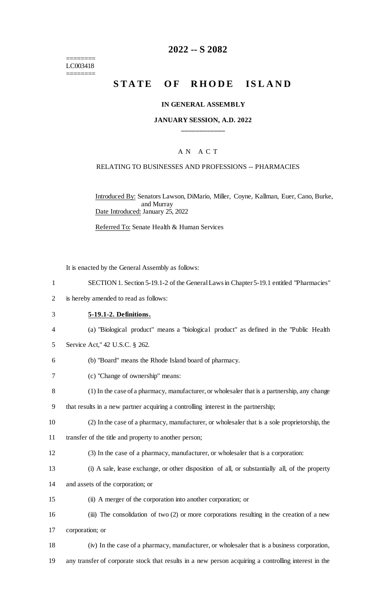======== LC003418 ========

# **2022 -- S 2082**

# **STATE OF RHODE ISLAND**

### **IN GENERAL ASSEMBLY**

### **JANUARY SESSION, A.D. 2022 \_\_\_\_\_\_\_\_\_\_\_\_**

# A N A C T

### RELATING TO BUSINESSES AND PROFESSIONS -- PHARMACIES

Introduced By: Senators Lawson, DiMario, Miller, Coyne, Kallman, Euer, Cano, Burke, and Murray Date Introduced: January 25, 2022

Referred To: Senate Health & Human Services

It is enacted by the General Assembly as follows:

- 1 SECTION 1. Section 5-19.1-2 of the General Laws in Chapter 5-19.1 entitled "Pharmacies"
- 2 is hereby amended to read as follows:
- 3 **5-19.1-2. Definitions.**
- 4 (a) "Biological product" means a "biological product" as defined in the "Public Health
- 5 Service Act," 42 U.S.C. § 262.
- 6 (b) "Board" means the Rhode Island board of pharmacy.
- 7 (c) "Change of ownership" means:
- 8 (1) In the case of a pharmacy, manufacturer, or wholesaler that is a partnership, any change
- 9 that results in a new partner acquiring a controlling interest in the partnership;
- 10 (2) In the case of a pharmacy, manufacturer, or wholesaler that is a sole proprietorship, the
- 11 transfer of the title and property to another person;
- 12 (3) In the case of a pharmacy, manufacturer, or wholesaler that is a corporation:
- 13 (i) A sale, lease exchange, or other disposition of all, or substantially all, of the property
- 14 and assets of the corporation; or
- 15 (ii) A merger of the corporation into another corporation; or
- 16 (iii) The consolidation of two (2) or more corporations resulting in the creation of a new 17 corporation; or
- 18 (iv) In the case of a pharmacy, manufacturer, or wholesaler that is a business corporation,
- 19 any transfer of corporate stock that results in a new person acquiring a controlling interest in the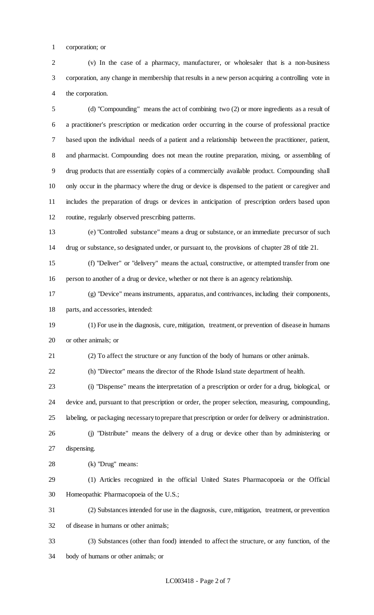corporation; or

 (v) In the case of a pharmacy, manufacturer, or wholesaler that is a non-business corporation, any change in membership that results in a new person acquiring a controlling vote in the corporation.

 (d) "Compounding" means the act of combining two (2) or more ingredients as a result of a practitioner's prescription or medication order occurring in the course of professional practice based upon the individual needs of a patient and a relationship between the practitioner, patient, and pharmacist. Compounding does not mean the routine preparation, mixing, or assembling of drug products that are essentially copies of a commercially available product. Compounding shall only occur in the pharmacy where the drug or device is dispensed to the patient or caregiver and includes the preparation of drugs or devices in anticipation of prescription orders based upon routine, regularly observed prescribing patterns.

 (e) "Controlled substance" means a drug or substance, or an immediate precursor of such drug or substance, so designated under, or pursuant to, the provisions of chapter 28 of title 21.

 (f) "Deliver" or "delivery" means the actual, constructive, or attempted transfer from one person to another of a drug or device, whether or not there is an agency relationship.

 (g) "Device" means instruments, apparatus, and contrivances, including their components, parts, and accessories, intended:

 (1) For use in the diagnosis, cure, mitigation, treatment, or prevention of disease in humans or other animals; or

(2) To affect the structure or any function of the body of humans or other animals.

(h) "Director" means the director of the Rhode Island state department of health.

 (i) "Dispense" means the interpretation of a prescription or order for a drug, biological, or device and, pursuant to that prescription or order, the proper selection, measuring, compounding, labeling, or packaging necessary to prepare that prescription or order for delivery or administration.

 (j) "Distribute" means the delivery of a drug or device other than by administering or dispensing.

(k) "Drug" means:

 (1) Articles recognized in the official United States Pharmacopoeia or the Official Homeopathic Pharmacopoeia of the U.S.;

 (2) Substances intended for use in the diagnosis, cure, mitigation, treatment, or prevention of disease in humans or other animals;

 (3) Substances (other than food) intended to affect the structure, or any function, of the body of humans or other animals; or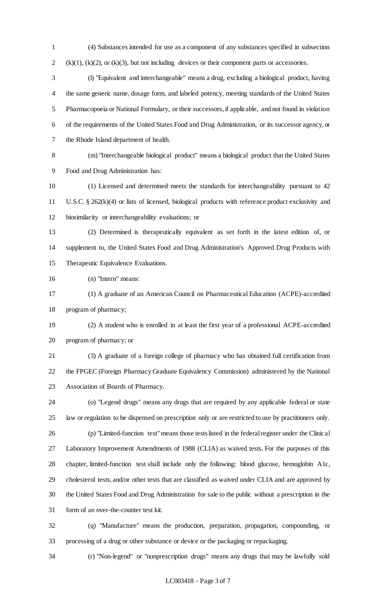(4) Substances intended for use as a component of any substances specified in subsection 2 (k)(1), (k)(2), or (k)(3), but not including devices or their component parts or accessories.

 (l) "Equivalent and interchangeable" means a drug, excluding a biological product, having the same generic name, dosage form, and labeled potency, meeting standards of the United States Pharmacopoeia or National Formulary, or their successors, if applicable, and not found in violation of the requirements of the United States Food and Drug Administration, or its successor agency, or the Rhode Island department of health.

 (m) "Interchangeable biological product" means a biological product that the United States Food and Drug Administration has:

 (1) Licensed and determined meets the standards for interchangeability pursuant to 42 U.S.C. § 262(k)(4) or lists of licensed, biological products with reference product exclusivity and biosimilarity or interchangeability evaluations; or

 (2) Determined is therapeutically equivalent as set forth in the latest edition of, or supplement to, the United States Food and Drug Administration's Approved Drug Products with Therapeutic Equivalence Evaluations.

(n) "Intern" means:

 (1) A graduate of an American Council on Pharmaceutical Education (ACPE)-accredited program of pharmacy;

 (2) A student who is enrolled in at least the first year of a professional ACPE-accredited program of pharmacy; or

 (3) A graduate of a foreign college of pharmacy who has obtained full certification from the FPGEC (Foreign Pharmacy Graduate Equivalency Commission) administered by the National Association of Boards of Pharmacy.

 (o) "Legend drugs" means any drugs that are required by any applicable federal or state law or regulation to be dispensed on prescription only or are restricted to use by practitioners only.

 (p) "Limited-function test" means those tests listed in the federal register under the Clinical Laboratory Improvement Amendments of 1988 (CLIA) as waived tests. For the purposes of this chapter, limited-function test shall include only the following: blood glucose, hemoglobin A1c, cholesterol tests, and/or other tests that are classified as waived under CLIA and are approved by the United States Food and Drug Administration for sale to the public without a prescription in the form of an over-the-counter test kit.

 (q) "Manufacture" means the production, preparation, propagation, compounding, or 33 processing of a drug or other substance or device or the packaging or repackaging.

(r) "Non-legend" or "nonprescription drugs" means any drugs that may be lawfully sold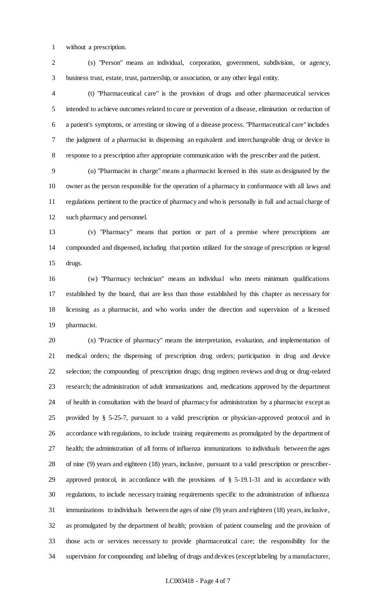without a prescription.

 (s) "Person" means an individual, corporation, government, subdivision, or agency, business trust, estate, trust, partnership, or association, or any other legal entity.

 (t) "Pharmaceutical care" is the provision of drugs and other pharmaceutical services intended to achieve outcomes related to cure or prevention of a disease, elimination or reduction of a patient's symptoms, or arresting or slowing of a disease process. "Pharmaceutical care" includes the judgment of a pharmacist in dispensing an equivalent and interchangeable drug or device in response to a prescription after appropriate communication with the prescriber and the patient.

 (u) "Pharmacist in charge" means a pharmacist licensed in this state as designated by the owner as the person responsible for the operation of a pharmacy in conformance with all laws and regulations pertinent to the practice of pharmacy and who is personally in full and actual charge of such pharmacy and personnel.

 (v) "Pharmacy" means that portion or part of a premise where prescriptions are compounded and dispensed, including that portion utilized for the storage of prescription or legend drugs.

 (w) "Pharmacy technician" means an individual who meets minimum qualifications established by the board, that are less than those established by this chapter as necessary for licensing as a pharmacist, and who works under the direction and supervision of a licensed pharmacist.

 (x) "Practice of pharmacy" means the interpretation, evaluation, and implementation of medical orders; the dispensing of prescription drug orders; participation in drug and device selection; the compounding of prescription drugs; drug regimen reviews and drug or drug-related research; the administration of adult immunizations and, medications approved by the department of health in consultation with the board of pharmacy for administration by a pharmacist except as provided by § 5-25-7, pursuant to a valid prescription or physician-approved protocol and in accordance with regulations, to include training requirements as promulgated by the department of health; the administration of all forms of influenza immunizations to individuals between the ages of nine (9) years and eighteen (18) years, inclusive, pursuant to a valid prescription or prescriber- approved protocol, in accordance with the provisions of § 5-19.1-31 and in accordance with regulations, to include necessary training requirements specific to the administration of influenza immunizations to individuals between the ages of nine (9) years and eighteen (18) years, inclusive, as promulgated by the department of health; provision of patient counseling and the provision of those acts or services necessary to provide pharmaceutical care; the responsibility for the supervision for compounding and labeling of drugs and devices (except labeling by a manufacturer,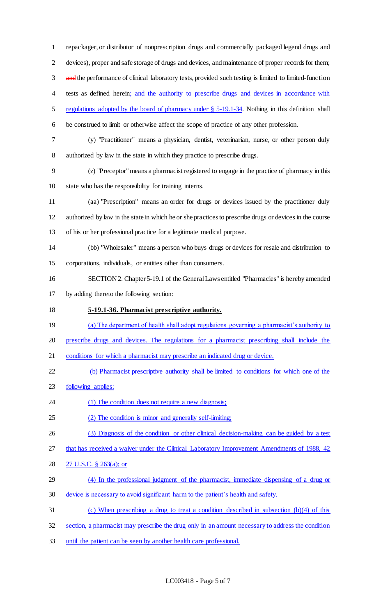repackager, or distributor of nonprescription drugs and commercially packaged legend drugs and devices), proper and safe storage of drugs and devices, and maintenance of proper records for them; 3 and the performance of clinical laboratory tests, provided such testing is limited to limited-function 4 tests as defined herein; and the authority to prescribe drugs and devices in accordance with regulations adopted by the board of pharmacy under § 5-19.1-34. Nothing in this definition shall be construed to limit or otherwise affect the scope of practice of any other profession.

 (y) "Practitioner" means a physician, dentist, veterinarian, nurse, or other person duly authorized by law in the state in which they practice to prescribe drugs.

 (z) "Preceptor" means a pharmacist registered to engage in the practice of pharmacy in this state who has the responsibility for training interns.

 (aa) "Prescription" means an order for drugs or devices issued by the practitioner duly authorized by law in the state in which he or she practices to prescribe drugs or devices in the course of his or her professional practice for a legitimate medical purpose.

- (bb) "Wholesaler" means a person who buys drugs or devices for resale and distribution to corporations, individuals, or entities other than consumers.
- SECTION 2. Chapter 5-19.1 of the General Laws entitled "Pharmacies" is hereby amended by adding thereto the following section:
- **5-19.1-36. Pharmacist prescriptive authority.**
- (a) The department of health shall adopt regulations governing a pharmacist's authority to
- prescribe drugs and devices. The regulations for a pharmacist prescribing shall include the
- 21 conditions for which a pharmacist may prescribe an indicated drug or device.
- (b) Pharmacist prescriptive authority shall be limited to conditions for which one of the
- 23 following applies:
- 24 (1) The condition does not require a new diagnosis;
- (2) The condition is minor and generally self-limiting;
- (3) Diagnosis of the condition or other clinical decision-making can be guided by a test

27 that has received a waiver under the Clinical Laboratory Improvement Amendments of 1988, 42

- 27 U.S.C. § 263(a); or
- (4) In the professional judgment of the pharmacist, immediate dispensing of a drug or
- device is necessary to avoid significant harm to the patient's health and safety.
- (c) When prescribing a drug to treat a condition described in subsection (b)(4) of this
- section, a pharmacist may prescribe the drug only in an amount necessary to address the condition
- until the patient can be seen by another health care professional.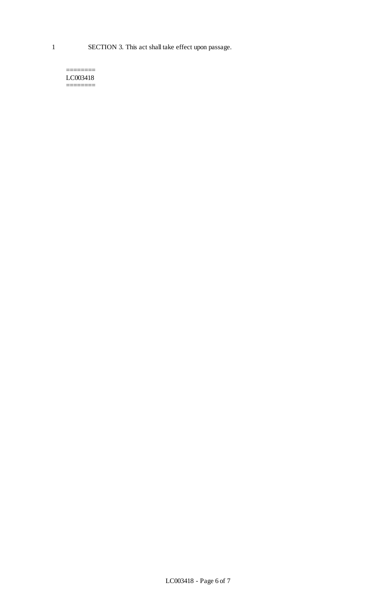#### ======== LC003418 ========